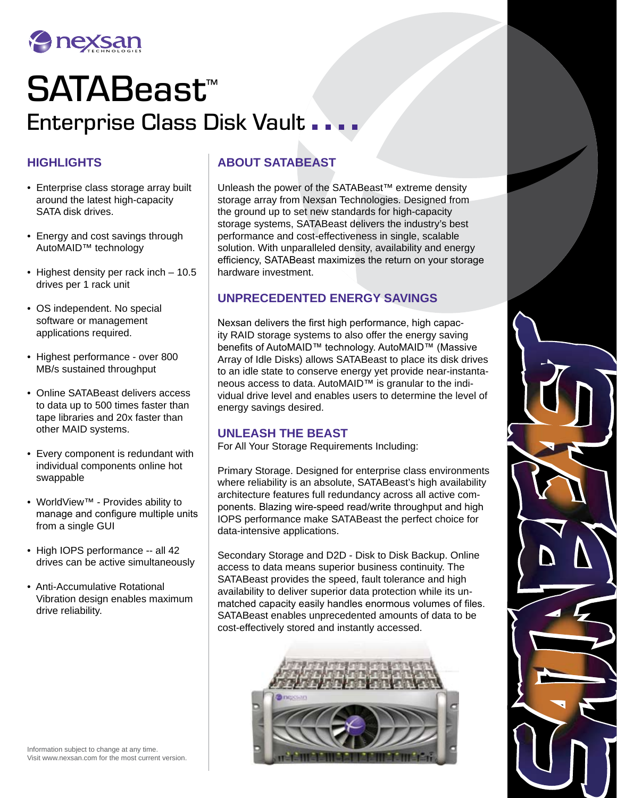

# SATABeast™ Enterprise Class Disk Vault ...

## **HIGHLIGHTS**

- Enterprise class storage array built around the latest high-capacity SATA disk drives.
- Energy and cost savings through AutoMAID™ technology
- Highest density per rack inch 10.5 drives per 1 rack unit
- OS independent. No special software or management applications required.
- Highest performance over 800 MB/s sustained throughput
- Online SATABeast delivers access to data up to 500 times faster than tape libraries and 20x faster than other MAID systems.
- Every component is redundant with individual components online hot swappable
- WorldView™ Provides ability to manage and configure multiple units from a single GUI
- High IOPS performance -- all 42 drives can be active simultaneously
- Anti-Accumulative Rotational Vibration design enables maximum drive reliability.

# **ABOUT SATABEAST**

Unleash the power of the SATABeast™ extreme density storage array from Nexsan Technologies. Designed from the ground up to set new standards for high-capacity storage systems, SATABeast delivers the industry's best performance and cost-effectiveness in single, scalable solution. With unparalleled density, availability and energy efficiency, SATABeast maximizes the return on your storage hardware investment.

### **UNPRECEDENTED ENERGY SAVINGS**

Nexsan delivers the first high performance, high capacity RAID storage systems to also offer the energy saving benefits of AutoMAID™ technology. AutoMAID™ (Massive Array of Idle Disks) allows SATABeast to place its disk drives to an idle state to conserve energy yet provide near-instantaneous access to data. AutoMAID™ is granular to the individual drive level and enables users to determine the level of energy savings desired.

#### **UNLEASH THE BEAST**

For All Your Storage Requirements Including:

Primary Storage. Designed for enterprise class environments where reliability is an absolute, SATABeast's high availability architecture features full redundancy across all active components. Blazing wire-speed read/write throughput and high IOPS performance make SATABeast the perfect choice for data-intensive applications.

Secondary Storage and D2D - Disk to Disk Backup. Online access to data means superior business continuity. The SATABeast provides the speed, fault tolerance and high availability to deliver superior data protection while its unmatched capacity easily handles enormous volumes of files. SATABeast enables unprecedented amounts of data to be cost-effectively stored and instantly accessed.